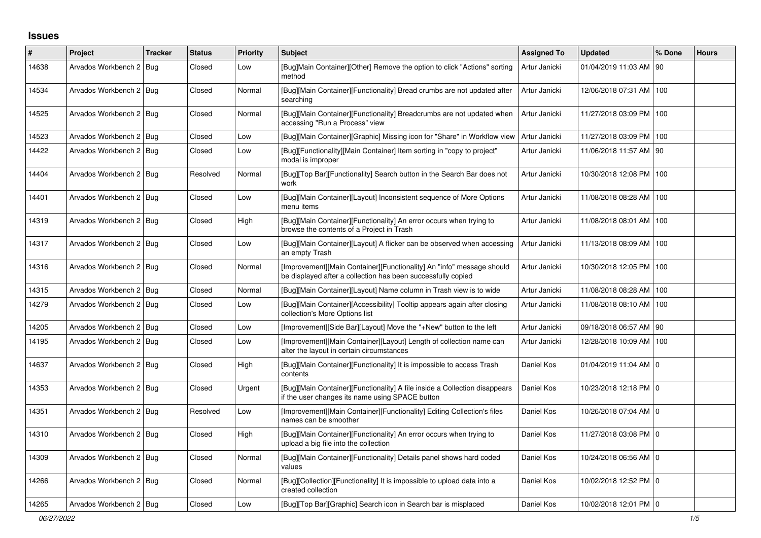## **Issues**

| #     | Project                   | <b>Tracker</b> | <b>Status</b> | Priority | <b>Subject</b>                                                                                                                        | <b>Assigned To</b> | <b>Updated</b>            | % Done | <b>Hours</b> |
|-------|---------------------------|----------------|---------------|----------|---------------------------------------------------------------------------------------------------------------------------------------|--------------------|---------------------------|--------|--------------|
| 14638 | Arvados Workbench 2       | Bug            | Closed        | Low      | [Bug]Main Container][Other] Remove the option to click "Actions" sorting<br>method                                                    | Artur Janicki      | 01/04/2019 11:03 AM       | 90     |              |
| 14534 | Arvados Workbench 2   Bug |                | Closed        | Normal   | [Bug][Main Container][Functionality] Bread crumbs are not updated after<br>searching                                                  | Artur Janicki      | 12/06/2018 07:31 AM       | 100    |              |
| 14525 | Arvados Workbench 2   Bug |                | Closed        | Normal   | [Bug][Main Container][Functionality] Breadcrumbs are not updated when<br>accessing "Run a Process" view                               | Artur Janicki      | 11/27/2018 03:09 PM       | 100    |              |
| 14523 | Arvados Workbench 2   Bug |                | Closed        | Low      | [Bug][Main Container][Graphic] Missing icon for "Share" in Workflow view                                                              | Artur Janicki      | 11/27/2018 03:09 PM       | 100    |              |
| 14422 | Arvados Workbench 2   Bug |                | Closed        | Low      | [Bug][Functionality][Main Container] Item sorting in "copy to project"<br>modal is improper                                           | Artur Janicki      | 11/06/2018 11:57 AM   90  |        |              |
| 14404 | Arvados Workbench 2   Bug |                | Resolved      | Normal   | [Bug][Top Bar][Functionality] Search button in the Search Bar does not<br>work                                                        | Artur Janicki      | 10/30/2018 12:08 PM       | 100    |              |
| 14401 | Arvados Workbench 2   Bug |                | Closed        | Low      | [Bug][Main Container][Layout] Inconsistent sequence of More Options<br>menu items                                                     | Artur Janicki      | 11/08/2018 08:28 AM       | 100    |              |
| 14319 | Arvados Workbench 2   Bug |                | Closed        | High     | [Bug][Main Container][Functionality] An error occurs when trying to<br>browse the contents of a Project in Trash                      | Artur Janicki      | 11/08/2018 08:01 AM       | 100    |              |
| 14317 | Arvados Workbench 2   Bug |                | Closed        | Low      | [Bug][Main Container][Layout] A flicker can be observed when accessing<br>an empty Trash                                              | Artur Janicki      | 11/13/2018 08:09 AM       | 100    |              |
| 14316 | Arvados Workbench 2   Bug |                | Closed        | Normal   | [Improvement][Main Container][Functionality] An "info" message should<br>be displayed after a collection has been successfully copied | Artur Janicki      | 10/30/2018 12:05 PM       | 100    |              |
| 14315 | Arvados Workbench 2   Bug |                | Closed        | Normal   | [Bug][Main Container][Layout] Name column in Trash view is to wide                                                                    | Artur Janicki      | 11/08/2018 08:28 AM       | 100    |              |
| 14279 | Arvados Workbench 2   Bug |                | Closed        | Low      | [Bug][Main Container][Accessibility] Tooltip appears again after closing<br>collection's More Options list                            | Artur Janicki      | 11/08/2018 08:10 AM       | 100    |              |
| 14205 | Arvados Workbench 2   Bug |                | Closed        | Low      | [Improvement][Side Bar][Layout] Move the "+New" button to the left                                                                    | Artur Janicki      | 09/18/2018 06:57 AM   90  |        |              |
| 14195 | Arvados Workbench 2   Bug |                | Closed        | Low      | [Improvement][Main Container][Layout] Length of collection name can<br>alter the layout in certain circumstances                      | Artur Janicki      | 12/28/2018 10:09 AM   100 |        |              |
| 14637 | Arvados Workbench 2   Bug |                | Closed        | High     | [Bug][Main Container][Functionality] It is impossible to access Trash<br>contents                                                     | Daniel Kos         | 01/04/2019 11:04 AM   0   |        |              |
| 14353 | Arvados Workbench 2   Bug |                | Closed        | Urgent   | [Bug][Main Container][Functionality] A file inside a Collection disappears<br>if the user changes its name using SPACE button         | Daniel Kos         | 10/23/2018 12:18 PM 0     |        |              |
| 14351 | Arvados Workbench 2 Bug   |                | Resolved      | Low      | [Improvement][Main Container][Functionality] Editing Collection's files<br>names can be smoother                                      | Daniel Kos         | 10/26/2018 07:04 AM   0   |        |              |
| 14310 | Arvados Workbench 2   Bug |                | Closed        | High     | [Bug][Main Container][Functionality] An error occurs when trying to<br>upload a big file into the collection                          | Daniel Kos         | 11/27/2018 03:08 PM 0     |        |              |
| 14309 | Arvados Workbench 2   Bug |                | Closed        | Normal   | [Bug][Main Container][Functionality] Details panel shows hard coded<br>values                                                         | Daniel Kos         | 10/24/2018 06:56 AM 0     |        |              |
| 14266 | Arvados Workbench 2   Bug |                | Closed        | Normal   | [Bug][Collection][Functionality] It is impossible to upload data into a<br>created collection                                         | Daniel Kos         | 10/02/2018 12:52 PM 0     |        |              |
| 14265 | Arvados Workbench 2   Bug |                | Closed        | Low      | [Bug][Top Bar][Graphic] Search icon in Search bar is misplaced                                                                        | Daniel Kos         | 10/02/2018 12:01 PM 0     |        |              |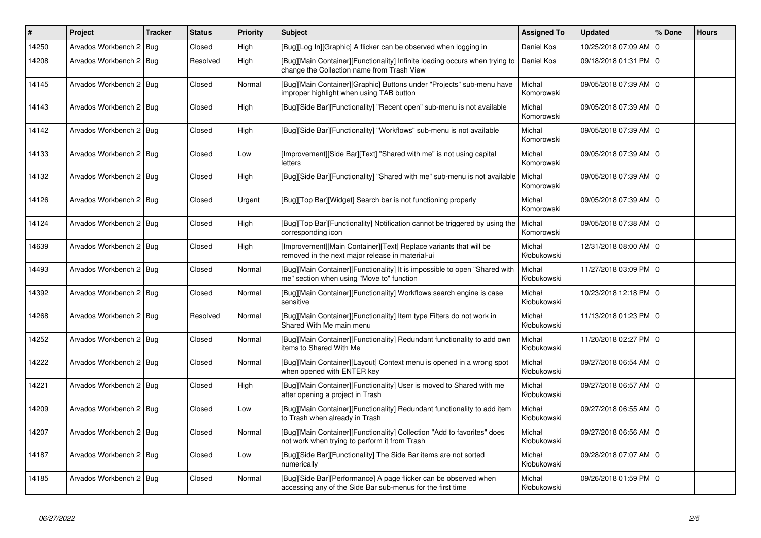| $\sharp$ | Project                   | <b>Tracker</b> | <b>Status</b> | <b>Priority</b> | <b>Subject</b>                                                                                                                 | <b>Assigned To</b>    | <b>Updated</b>          | % Done | <b>Hours</b> |
|----------|---------------------------|----------------|---------------|-----------------|--------------------------------------------------------------------------------------------------------------------------------|-----------------------|-------------------------|--------|--------------|
| 14250    | Arvados Workbench 2   Bug |                | Closed        | High            | [Bug][Log In][Graphic] A flicker can be observed when logging in                                                               | Daniel Kos            | 10/25/2018 07:09 AM 0   |        |              |
| 14208    | Arvados Workbench 2   Bug |                | Resolved      | High            | [Bug][Main Container][Functionality] Infinite loading occurs when trying to<br>change the Collection name from Trash View      | Daniel Kos            | 09/18/2018 01:31 PM 0   |        |              |
| 14145    | Arvados Workbench 2   Bug |                | Closed        | Normal          | [Bug][Main Container][Graphic] Buttons under "Projects" sub-menu have<br>improper highlight when using TAB button              | Michal<br>Komorowski  | 09/05/2018 07:39 AM   0 |        |              |
| 14143    | Arvados Workbench 2   Bug |                | Closed        | High            | [Bug][Side Bar][Functionality] "Recent open" sub-menu is not available                                                         | Michal<br>Komorowski  | 09/05/2018 07:39 AM   0 |        |              |
| 14142    | Arvados Workbench 2   Bug |                | Closed        | High            | [Bug][Side Bar][Functionality] "Workflows" sub-menu is not available                                                           | Michal<br>Komorowski  | 09/05/2018 07:39 AM 0   |        |              |
| 14133    | Arvados Workbench 2   Bug |                | Closed        | Low             | [Improvement][Side Bar][Text] "Shared with me" is not using capital<br>letters                                                 | Michal<br>Komorowski  | 09/05/2018 07:39 AM 0   |        |              |
| 14132    | Arvados Workbench 2   Bug |                | Closed        | High            | [Bug][Side Bar][Functionality] "Shared with me" sub-menu is not available                                                      | Michal<br>Komorowski  | 09/05/2018 07:39 AM   0 |        |              |
| 14126    | Arvados Workbench 2   Bug |                | Closed        | Urgent          | [Bug][Top Bar][Widget] Search bar is not functioning properly                                                                  | Michal<br>Komorowski  | 09/05/2018 07:39 AM 0   |        |              |
| 14124    | Arvados Workbench 2   Bug |                | Closed        | High            | [Bug][Top Bar][Functionality] Notification cannot be triggered by using the<br>corresponding icon                              | Michal<br>Komorowski  | 09/05/2018 07:38 AM 0   |        |              |
| 14639    | Arvados Workbench 2   Bug |                | Closed        | High            | [Improvement][Main Container][Text] Replace variants that will be<br>removed in the next major release in material-ui          | Michał<br>Kłobukowski | 12/31/2018 08:00 AM 0   |        |              |
| 14493    | Arvados Workbench 2   Bug |                | Closed        | Normal          | [Bug][Main Container][Functionality] It is impossible to open "Shared with<br>me" section when using "Move to" function        | Michał<br>Kłobukowski | 11/27/2018 03:09 PM 0   |        |              |
| 14392    | Arvados Workbench 2   Bug |                | Closed        | Normal          | [Bug][Main Container][Functionality] Workflows search engine is case<br>sensitive                                              | Michał<br>Kłobukowski | 10/23/2018 12:18 PM 0   |        |              |
| 14268    | Arvados Workbench 2   Bug |                | Resolved      | Normal          | [Bug][Main Container][Functionality] Item type Filters do not work in<br>Shared With Me main menu                              | Michał<br>Kłobukowski | 11/13/2018 01:23 PM 0   |        |              |
| 14252    | Arvados Workbench 2   Bug |                | Closed        | Normal          | [Bug][Main Container][Functionality] Redundant functionality to add own<br>items to Shared With Me                             | Michał<br>Kłobukowski | 11/20/2018 02:27 PM 0   |        |              |
| 14222    | Arvados Workbench 2   Bug |                | Closed        | Normal          | [Bug][Main Container][Layout] Context menu is opened in a wrong spot<br>when opened with ENTER key                             | Michał<br>Kłobukowski | 09/27/2018 06:54 AM 0   |        |              |
| 14221    | Arvados Workbench 2   Bug |                | Closed        | High            | [Bug][Main Container][Functionality] User is moved to Shared with me<br>after opening a project in Trash                       | Michał<br>Kłobukowski | 09/27/2018 06:57 AM   0 |        |              |
| 14209    | Arvados Workbench 2   Bug |                | Closed        | Low             | [Bug][Main Container][Functionality] Redundant functionality to add item<br>to Trash when already in Trash                     | Michał<br>Kłobukowski | 09/27/2018 06:55 AM 0   |        |              |
| 14207    | Arvados Workbench 2   Bug |                | Closed        | Normal          | [Bug][Main Container][Functionality] Collection "Add to favorites" does<br>not work when trying to perform it from Trash       | Michał<br>Kłobukowski | 09/27/2018 06:56 AM   0 |        |              |
| 14187    | Arvados Workbench 2   Bug |                | Closed        | Low             | [Bug][Side Bar][Functionality] The Side Bar items are not sorted<br>numerically                                                | Michał<br>Kłobukowski | 09/28/2018 07:07 AM 0   |        |              |
| 14185    | Arvados Workbench 2   Bug |                | Closed        | Normal          | [Bug][Side Bar][Performance] A page flicker can be observed when<br>accessing any of the Side Bar sub-menus for the first time | Michał<br>Kłobukowski | 09/26/2018 01:59 PM 0   |        |              |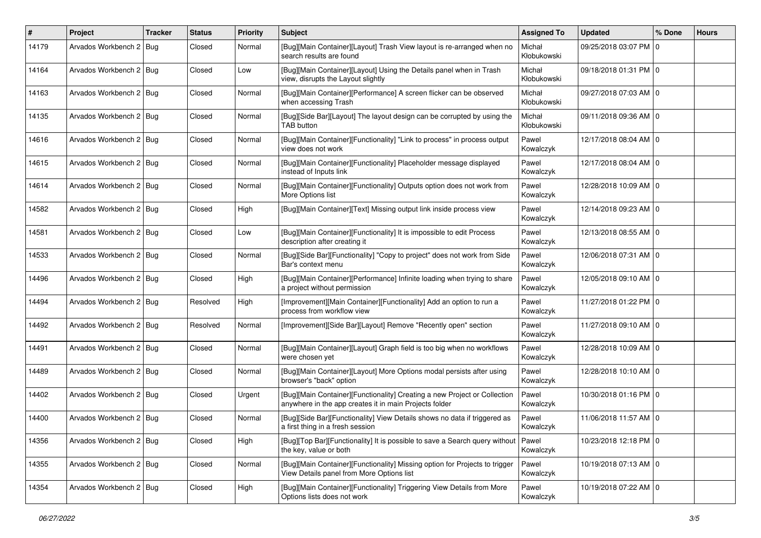| #     | Project                   | <b>Tracker</b> | <b>Status</b> | <b>Priority</b> | <b>Subject</b>                                                                                                                      | <b>Assigned To</b>    | <b>Updated</b>          | % Done | <b>Hours</b> |
|-------|---------------------------|----------------|---------------|-----------------|-------------------------------------------------------------------------------------------------------------------------------------|-----------------------|-------------------------|--------|--------------|
| 14179 | Arvados Workbench 2   Bug |                | Closed        | Normal          | [Bug][Main Container][Layout] Trash View layout is re-arranged when no<br>search results are found                                  | Michał<br>Kłobukowski | 09/25/2018 03:07 PM 0   |        |              |
| 14164 | Arvados Workbench 2   Bug |                | Closed        | Low             | [Bug][Main Container][Layout] Using the Details panel when in Trash<br>view, disrupts the Layout slightly                           | Michał<br>Kłobukowski | 09/18/2018 01:31 PM 0   |        |              |
| 14163 | Arvados Workbench 2   Bug |                | Closed        | Normal          | [Bug][Main Container][Performance] A screen flicker can be observed<br>when accessing Trash                                         | Michał<br>Kłobukowski | 09/27/2018 07:03 AM 0   |        |              |
| 14135 | Arvados Workbench 2   Bug |                | Closed        | Normal          | [Bug][Side Bar][Layout] The layout design can be corrupted by using the<br><b>TAB button</b>                                        | Michał<br>Kłobukowski | 09/11/2018 09:36 AM 0   |        |              |
| 14616 | Arvados Workbench 2   Bug |                | Closed        | Normal          | [Bug][Main Container][Functionality] "Link to process" in process output<br>view does not work                                      | Pawel<br>Kowalczyk    | 12/17/2018 08:04 AM   0 |        |              |
| 14615 | Arvados Workbench 2   Bug |                | Closed        | Normal          | [Bug][Main Container][Functionality] Placeholder message displayed<br>instead of Inputs link                                        | Pawel<br>Kowalczyk    | 12/17/2018 08:04 AM   0 |        |              |
| 14614 | Arvados Workbench 2   Bug |                | Closed        | Normal          | [Bug][Main Container][Functionality] Outputs option does not work from<br>More Options list                                         | Pawel<br>Kowalczyk    | 12/28/2018 10:09 AM 0   |        |              |
| 14582 | Arvados Workbench 2   Bug |                | Closed        | High            | [Bug][Main Container][Text] Missing output link inside process view                                                                 | Pawel<br>Kowalczyk    | 12/14/2018 09:23 AM 0   |        |              |
| 14581 | Arvados Workbench 2   Bug |                | Closed        | Low             | [Bug][Main Container][Functionality] It is impossible to edit Process<br>description after creating it                              | Pawel<br>Kowalczyk    | 12/13/2018 08:55 AM   0 |        |              |
| 14533 | Arvados Workbench 2   Bug |                | Closed        | Normal          | [Bug][Side Bar][Functionality] "Copy to project" does not work from Side<br>Bar's context menu                                      | Pawel<br>Kowalczyk    | 12/06/2018 07:31 AM 0   |        |              |
| 14496 | Arvados Workbench 2   Bug |                | Closed        | High            | [Bug][Main Container][Performance] Infinite loading when trying to share<br>a project without permission                            | Pawel<br>Kowalczyk    | 12/05/2018 09:10 AM 0   |        |              |
| 14494 | Arvados Workbench 2 Bug   |                | Resolved      | High            | [Improvement][Main Container][Functionality] Add an option to run a<br>process from workflow view                                   | Pawel<br>Kowalczyk    | 11/27/2018 01:22 PM 0   |        |              |
| 14492 | Arvados Workbench 2   Bug |                | Resolved      | Normal          | [Improvement][Side Bar][Layout] Remove "Recently open" section                                                                      | Pawel<br>Kowalczyk    | 11/27/2018 09:10 AM   0 |        |              |
| 14491 | Arvados Workbench 2   Bug |                | Closed        | Normal          | [Bug][Main Container][Layout] Graph field is too big when no workflows<br>were chosen yet                                           | Pawel<br>Kowalczyk    | 12/28/2018 10:09 AM 0   |        |              |
| 14489 | Arvados Workbench 2   Bug |                | Closed        | Normal          | [Bug][Main Container][Layout] More Options modal persists after using<br>browser's "back" option                                    | Pawel<br>Kowalczyk    | 12/28/2018 10:10 AM 0   |        |              |
| 14402 | Arvados Workbench 2   Bug |                | Closed        | Urgent          | [Bug][Main Container][Functionality] Creating a new Project or Collection<br>anywhere in the app creates it in main Projects folder | Pawel<br>Kowalczyk    | 10/30/2018 01:16 PM   0 |        |              |
| 14400 | Arvados Workbench 2   Bug |                | Closed        | Normal          | [Bug][Side Bar][Functionality] View Details shows no data if triggered as<br>a first thing in a fresh session                       | Pawel<br>Kowalczyk    | 11/06/2018 11:57 AM 0   |        |              |
| 14356 | Arvados Workbench 2 Bug   |                | Closed        | High            | [Bug][Top Bar][Functionality] It is possible to save a Search query without   Pawel<br>the key, value or both                       | Kowalczyk             | 10/23/2018 12:18 PM 0   |        |              |
| 14355 | Arvados Workbench 2   Bug |                | Closed        | Normal          | [Bug][Main Container][Functionality] Missing option for Projects to trigger<br>View Details panel from More Options list            | Pawel<br>Kowalczyk    | 10/19/2018 07:13 AM 0   |        |              |
| 14354 | Arvados Workbench 2   Bug |                | Closed        | High            | [Bug][Main Container][Functionality] Triggering View Details from More<br>Options lists does not work                               | Pawel<br>Kowalczyk    | 10/19/2018 07:22 AM   0 |        |              |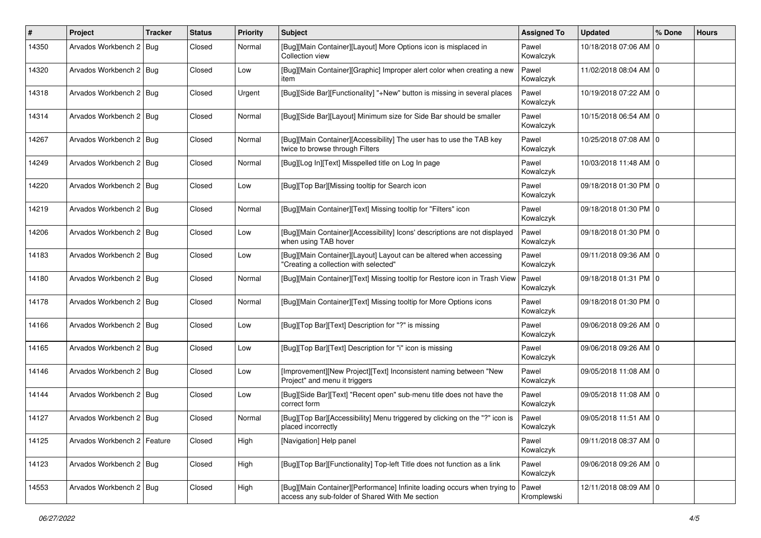| #     | Project                       | <b>Tracker</b> | <b>Status</b> | <b>Priority</b> | Subject                                                                                                                      | <b>Assigned To</b>   | <b>Updated</b>          | % Done | <b>Hours</b> |
|-------|-------------------------------|----------------|---------------|-----------------|------------------------------------------------------------------------------------------------------------------------------|----------------------|-------------------------|--------|--------------|
| 14350 | Arvados Workbench 2   Bug     |                | Closed        | Normal          | [Bug][Main Container][Layout] More Options icon is misplaced in<br>Collection view                                           | Pawel<br>Kowalczyk   | 10/18/2018 07:06 AM 0   |        |              |
| 14320 | Arvados Workbench 2   Bug     |                | Closed        | Low             | [Bug][Main Container][Graphic] Improper alert color when creating a new<br>item                                              | Pawel<br>Kowalczyk   | 11/02/2018 08:04 AM 0   |        |              |
| 14318 | Arvados Workbench 2   Bug     |                | Closed        | Urgent          | [Bug][Side Bar][Functionality] "+New" button is missing in several places                                                    | Pawel<br>Kowalczyk   | 10/19/2018 07:22 AM 0   |        |              |
| 14314 | Arvados Workbench 2   Bug     |                | Closed        | Normal          | [Bug][Side Bar][Layout] Minimum size for Side Bar should be smaller                                                          | Pawel<br>Kowalczyk   | 10/15/2018 06:54 AM 0   |        |              |
| 14267 | Arvados Workbench 2   Bug     |                | Closed        | Normal          | [Bug][Main Container][Accessibility] The user has to use the TAB key<br>twice to browse through Filters                      | Pawel<br>Kowalczyk   | 10/25/2018 07:08 AM 0   |        |              |
| 14249 | Arvados Workbench 2   Bug     |                | Closed        | Normal          | [Bug][Log In][Text] Misspelled title on Log In page                                                                          | Pawel<br>Kowalczyk   | 10/03/2018 11:48 AM   0 |        |              |
| 14220 | Arvados Workbench 2   Bug     |                | Closed        | Low             | [Bug][Top Bar][Missing tooltip for Search icon                                                                               | Pawel<br>Kowalczyk   | 09/18/2018 01:30 PM 0   |        |              |
| 14219 | Arvados Workbench 2   Bug     |                | Closed        | Normal          | [Bug][Main Container][Text] Missing tooltip for "Filters" icon                                                               | Pawel<br>Kowalczyk   | 09/18/2018 01:30 PM 0   |        |              |
| 14206 | Arvados Workbench 2   Bug     |                | Closed        | Low             | [Bug][Main Container][Accessibility] Icons' descriptions are not displayed<br>when using TAB hover                           | Pawel<br>Kowalczyk   | 09/18/2018 01:30 PM   0 |        |              |
| 14183 | Arvados Workbench 2   Bug     |                | Closed        | Low             | [Bug][Main Container][Layout] Layout can be altered when accessing<br>"Creating a collection with selected"                  | Pawel<br>Kowalczyk   | 09/11/2018 09:36 AM 0   |        |              |
| 14180 | Arvados Workbench 2   Bug     |                | Closed        | Normal          | [Bug][Main Container][Text] Missing tooltip for Restore icon in Trash View                                                   | Pawel<br>Kowalczyk   | 09/18/2018 01:31 PM 0   |        |              |
| 14178 | Arvados Workbench 2   Bug     |                | Closed        | Normal          | [Bug][Main Container][Text] Missing tooltip for More Options icons                                                           | Pawel<br>Kowalczyk   | 09/18/2018 01:30 PM 0   |        |              |
| 14166 | Arvados Workbench 2   Bug     |                | Closed        | Low             | [Bug][Top Bar][Text] Description for "?" is missing                                                                          | Pawel<br>Kowalczyk   | 09/06/2018 09:26 AM   0 |        |              |
| 14165 | Arvados Workbench 2   Bug     |                | Closed        | Low             | [Bug][Top Bar][Text] Description for "i" icon is missing                                                                     | Pawel<br>Kowalczyk   | 09/06/2018 09:26 AM 0   |        |              |
| 14146 | Arvados Workbench 2   Bug     |                | Closed        | Low             | [Improvement][New Project][Text] Inconsistent naming between "New<br>Project" and menu it triggers                           | Pawel<br>Kowalczyk   | 09/05/2018 11:08 AM 0   |        |              |
| 14144 | Arvados Workbench 2   Bug     |                | Closed        | Low             | [Bug][Side Bar][Text] "Recent open" sub-menu title does not have the<br>correct form                                         | Pawel<br>Kowalczyk   | 09/05/2018 11:08 AM   0 |        |              |
| 14127 | Arvados Workbench 2   Bug     |                | Closed        | Normal          | [Bug][Top Bar][Accessibility] Menu triggered by clicking on the "?" icon is<br>placed incorrectly                            | Pawel<br>Kowalczyk   | 09/05/2018 11:51 AM 0   |        |              |
| 14125 | Arvados Workbench 2   Feature |                | Closed        | High            | [Navigation] Help panel                                                                                                      | Pawel<br>Kowalczyk   | 09/11/2018 08:37 AM 0   |        |              |
| 14123 | Arvados Workbench 2   Bug     |                | Closed        | High            | [Bug][Top Bar][Functionality] Top-left Title does not function as a link                                                     | Pawel<br>Kowalczyk   | 09/06/2018 09:26 AM 0   |        |              |
| 14553 | Arvados Workbench 2 Bug       |                | Closed        | High            | [Bug][Main Container][Performance] Infinite loading occurs when trying to<br>access any sub-folder of Shared With Me section | Paweł<br>Kromplewski | 12/11/2018 08:09 AM 0   |        |              |